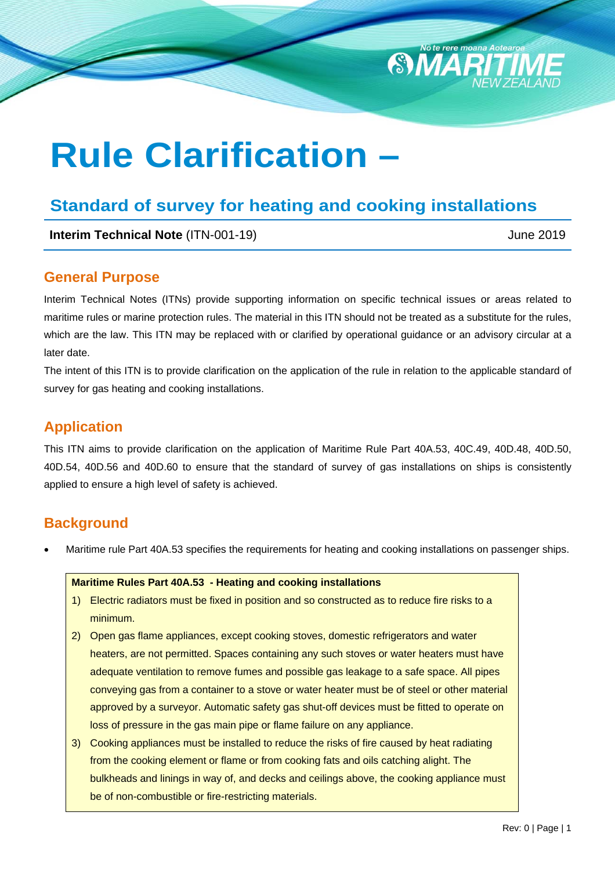# **Rule Clarification –**

# **Standard of survey for heating and cooking installations**

**Interim Technical Note** (ITN-001-19) **June 2019** June 2019

SMAR

### **General Purpose**

Interim Technical Notes (ITNs) provide supporting information on specific technical issues or areas related to maritime rules or marine protection rules. The material in this ITN should not be treated as a substitute for the rules, which are the law. This ITN may be replaced with or clarified by operational guidance or an advisory circular at a later date.

The intent of this ITN is to provide clarification on the application of the rule in relation to the applicable standard of survey for gas heating and cooking installations.

## **Application**

This ITN aims to provide clarification on the application of Maritime Rule Part 40A.53, 40C.49, 40D.48, 40D.50, 40D.54, 40D.56 and 40D.60 to ensure that the standard of survey of gas installations on ships is consistently applied to ensure a high level of safety is achieved.

## **Background**

Maritime rule Part 40A.53 specifies the requirements for heating and cooking installations on passenger ships.

#### **Maritime Rules Part 40A.53 - Heating and cooking installations**

- 1) Electric radiators must be fixed in position and so constructed as to reduce fire risks to a minimum.
- 2) Open gas flame appliances, except cooking stoves, domestic refrigerators and water heaters, are not permitted. Spaces containing any such stoves or water heaters must have adequate ventilation to remove fumes and possible gas leakage to a safe space. All pipes conveying gas from a container to a stove or water heater must be of steel or other material approved by a surveyor. Automatic safety gas shut-off devices must be fitted to operate on loss of pressure in the gas main pipe or flame failure on any appliance.
- 3) Cooking appliances must be installed to reduce the risks of fire caused by heat radiating from the cooking element or flame or from cooking fats and oils catching alight. The bulkheads and linings in way of, and decks and ceilings above, the cooking appliance must be of non-combustible or fire-restricting materials.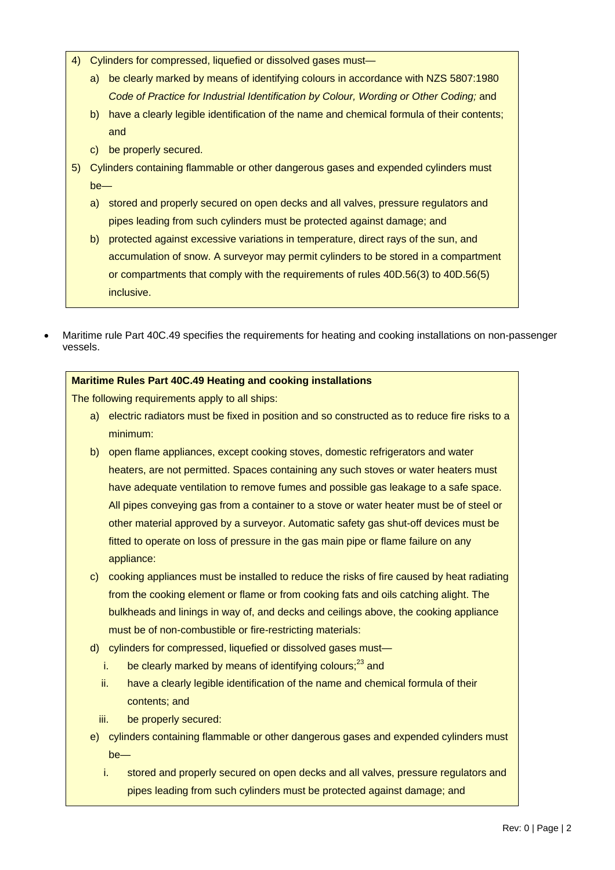- 4) Cylinders for compressed, liquefied or dissolved gases must
	- a) be clearly marked by means of identifying colours in accordance with NZS 5807:1980 **Code of Practice for Industrial Identification by Colour, Wording or Other Coding; and**
	- b) have a clearly legible identification of the name and chemical formula of their contents; and
	- c) be properly secured.
- 5) Cylinders containing flammable or other dangerous gases and expended cylinders must be
	- a) stored and properly secured on open decks and all valves, pressure regulators and pipes leading from such cylinders must be protected against damage; and
	- b) protected against excessive variations in temperature, direct rays of the sun, and accumulation of snow. A surveyor may permit cylinders to be stored in a compartment or compartments that comply with the requirements of rules 40D.56(3) to 40D.56(5) inclusive.
- Maritime rule Part 40C.49 specifies the requirements for heating and cooking installations on non-passenger vessels.

#### **Maritime Rules Part 40C.49 Heating and cooking installations**

The following requirements apply to all ships:

- a) electric radiators must be fixed in position and so constructed as to reduce fire risks to a minimum:
- b) open flame appliances, except cooking stoves, domestic refrigerators and water heaters, are not permitted. Spaces containing any such stoves or water heaters must have adequate ventilation to remove fumes and possible gas leakage to a safe space. All pipes conveying gas from a container to a stove or water heater must be of steel or other material approved by a surveyor. Automatic safety gas shut-off devices must be fitted to operate on loss of pressure in the gas main pipe or flame failure on any appliance:
- c) cooking appliances must be installed to reduce the risks of fire caused by heat radiating from the cooking element or flame or from cooking fats and oils catching alight. The bulkheads and linings in way of, and decks and ceilings above, the cooking appliance must be of non-combustible or fire-restricting materials:
- d) cylinders for compressed, liquefied or dissolved gases must
	- i. be clearly marked by means of identifying colours; $^{23}$  and
	- ii. have a clearly legible identification of the name and chemical formula of their contents; and
	- iii. be properly secured:
- e) cylinders containing flammable or other dangerous gases and expended cylinders must  $ha$ 
	- i. stored and properly secured on open decks and all valves, pressure regulators and pipes leading from such cylinders must be protected against damage; and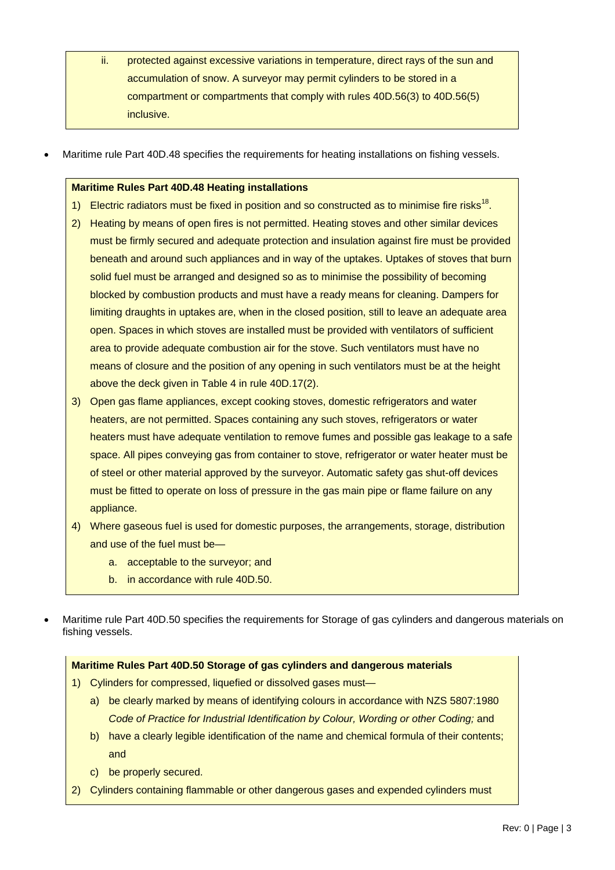- ii. protected against excessive variations in temperature, direct rays of the sun and accumulation of snow. A surveyor may permit cylinders to be stored in a compartment or compartments that comply with rules 40D.56(3) to 40D.56(5) inclusive.
- Maritime rule Part 40D.48 specifies the requirements for heating installations on fishing vessels.

#### **Maritime Rules Part 40D.48 Heating installations**

- 1) Electric radiators must be fixed in position and so constructed as to minimise fire risks<sup>18</sup>.
- 2) Heating by means of open fires is not permitted. Heating stoves and other similar devices must be firmly secured and adequate protection and insulation against fire must be provided beneath and around such appliances and in way of the uptakes. Uptakes of stoves that burn solid fuel must be arranged and designed so as to minimise the possibility of becoming blocked by combustion products and must have a ready means for cleaning. Dampers for limiting draughts in uptakes are, when in the closed position, still to leave an adequate area open. Spaces in which stoves are installed must be provided with ventilators of sufficient area to provide adequate combustion air for the stove. Such ventilators must have no means of closure and the position of any opening in such ventilators must be at the height above the deck given in Table 4 in rule 40D.17(2).
- 3) Open gas flame appliances, except cooking stoves, domestic refrigerators and water heaters, are not permitted. Spaces containing any such stoves, refrigerators or water heaters must have adequate ventilation to remove fumes and possible gas leakage to a safe space. All pipes conveying gas from container to stove, refrigerator or water heater must be of steel or other material approved by the surveyor. Automatic safety gas shut-off devices must be fitted to operate on loss of pressure in the gas main pipe or flame failure on any appliance.
- 4) Where gaseous fuel is used for domestic purposes, the arrangements, storage, distribution and use of the fuel must be
	- a. acceptable to the surveyor; and
	- b. in accordance with rule 40D.50.
- Maritime rule Part 40D.50 specifies the requirements for Storage of gas cylinders and dangerous materials on fishing vessels.

#### **Maritime Rules Part 40D.50 Storage of gas cylinders and dangerous materials**

- 1) Cylinders for compressed, liquefied or dissolved gases must
	- a) be clearly marked by means of identifying colours in accordance with NZS 5807:1980 *Code of Practice for Industrial Identification by Colour, Wording or other Coding;* and
	- b) have a clearly legible identification of the name and chemical formula of their contents; and
	- c) be properly secured.
- 2) Cylinders containing flammable or other dangerous gases and expended cylinders must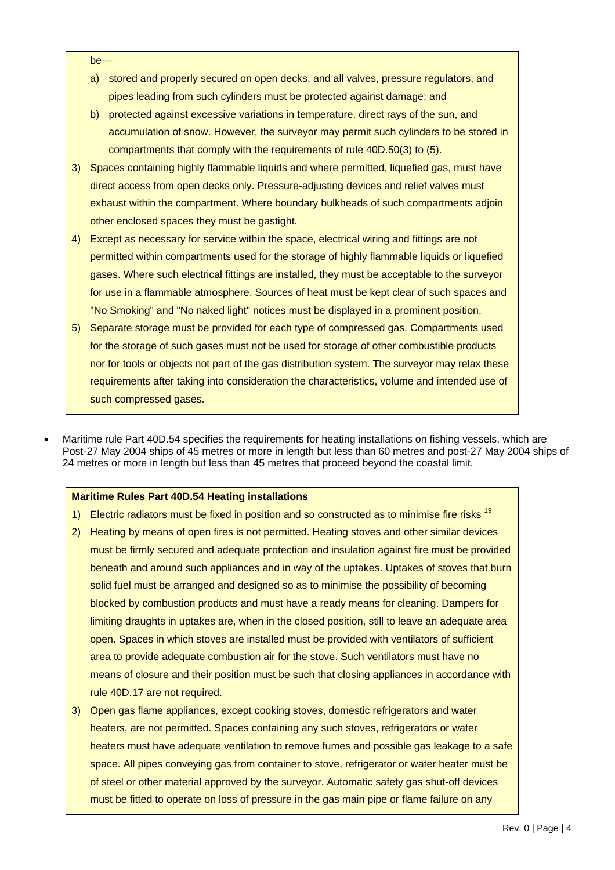#### be-

- a) stored and properly secured on open decks, and all valves, pressure regulators, and pipes leading from such cylinders must be protected against damage; and
- b) protected against excessive variations in temperature, direct rays of the sun, and accumulation of snow. However, the surveyor may permit such cylinders to be stored in compartments that comply with the requirements of rule 40D.50(3) to (5).
- 3) Spaces containing highly flammable liquids and where permitted, liquefied gas, must have direct access from open decks only. Pressure-adjusting devices and relief valves must exhaust within the compartment. Where boundary bulkheads of such compartments adjoin other enclosed spaces they must be gastight.
- 4) Except as necessary for service within the space, electrical wiring and fittings are not permitted within compartments used for the storage of highly flammable liquids or liquefied gases. Where such electrical fittings are installed, they must be acceptable to the surveyor for use in a flammable atmosphere. Sources of heat must be kept clear of such spaces and "No Smoking" and "No naked light" notices must be displayed in a prominent position.
- 5) Separate storage must be provided for each type of compressed gas. Compartments used for the storage of such gases must not be used for storage of other combustible products nor for tools or objects not part of the gas distribution system. The surveyor may relax these requirements after taking into consideration the characteristics, volume and intended use of such compressed gases.
- Maritime rule Part 40D.54 specifies the requirements for heating installations on fishing vessels, which are Post-27 May 2004 ships of 45 metres or more in length but less than 60 metres and post-27 May 2004 ships of 24 metres or more in length but less than 45 metres that proceed beyond the coastal limit.

#### **Maritime Rules Part 40D.54 Heating installations**

- 1) Electric radiators must be fixed in position and so constructed as to minimise fire risks <sup>19</sup>
- 2) Heating by means of open fires is not permitted. Heating stoves and other similar devices must be firmly secured and adequate protection and insulation against fire must be provided beneath and around such appliances and in way of the uptakes. Uptakes of stoves that burn solid fuel must be arranged and designed so as to minimise the possibility of becoming blocked by combustion products and must have a ready means for cleaning. Dampers for limiting draughts in uptakes are, when in the closed position, still to leave an adequate area open. Spaces in which stoves are installed must be provided with ventilators of sufficient area to provide adequate combustion air for the stove. Such ventilators must have no means of closure and their position must be such that closing appliances in accordance with rule 40D.17 are not required.
- 3) Open gas flame appliances, except cooking stoves, domestic refrigerators and water heaters, are not permitted. Spaces containing any such stoves, refrigerators or water heaters must have adequate ventilation to remove fumes and possible gas leakage to a safe space. All pipes conveying gas from container to stove, refrigerator or water heater must be of steel or other material approved by the surveyor. Automatic safety gas shut-off devices must be fitted to operate on loss of pressure in the gas main pipe or flame failure on any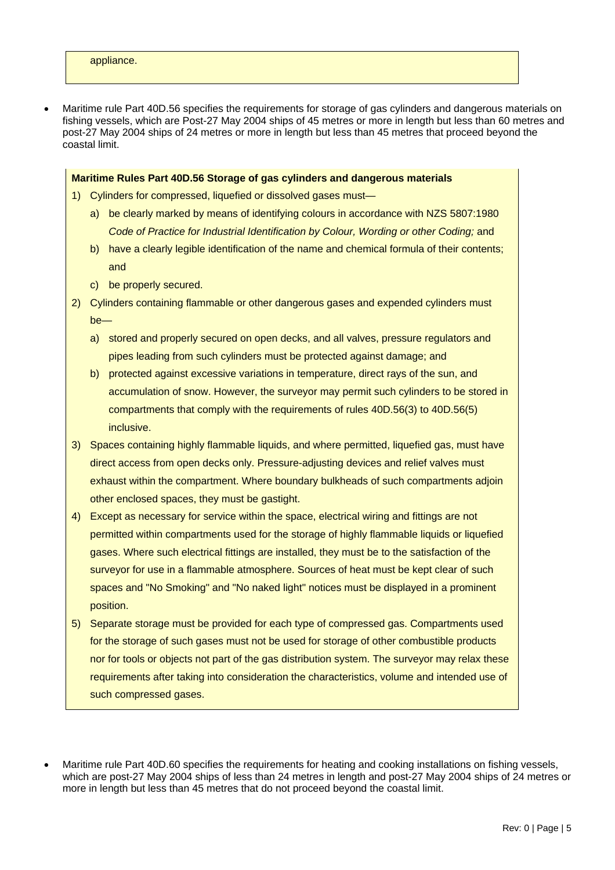Maritime rule Part 40D.56 specifies the requirements for storage of gas cylinders and dangerous materials on fishing vessels, which are Post-27 May 2004 ships of 45 metres or more in length but less than 60 metres and post-27 May 2004 ships of 24 metres or more in length but less than 45 metres that proceed beyond the coastal limit.

#### **Maritime Rules Part 40D.56 Storage of gas cylinders and dangerous materials**

- 1) Cylinders for compressed, liquefied or dissolved gases must
	- a) be clearly marked by means of identifying colours in accordance with NZS 5807:1980 *Code of Practice for Industrial Identification by Colour, Wording or other Coding;* and
	- b) have a clearly legible identification of the name and chemical formula of their contents; and
	- c) be properly secured.
- 2) Cylinders containing flammable or other dangerous gases and expended cylinders must  $ha$ 
	- a) stored and properly secured on open decks, and all valves, pressure regulators and pipes leading from such cylinders must be protected against damage; and
	- b) protected against excessive variations in temperature, direct rays of the sun, and accumulation of snow. However, the surveyor may permit such cylinders to be stored in compartments that comply with the requirements of rules 40D.56(3) to 40D.56(5) inclusive.
- 3) Spaces containing highly flammable liquids, and where permitted, liquefied gas, must have direct access from open decks only. Pressure-adjusting devices and relief valves must exhaust within the compartment. Where boundary bulkheads of such compartments adjoin other enclosed spaces, they must be gastight.
- 4) Except as necessary for service within the space, electrical wiring and fittings are not permitted within compartments used for the storage of highly flammable liquids or liquefied gases. Where such electrical fittings are installed, they must be to the satisfaction of the surveyor for use in a flammable atmosphere. Sources of heat must be kept clear of such spaces and "No Smoking" and "No naked light" notices must be displayed in a prominent position.
- 5) Separate storage must be provided for each type of compressed gas. Compartments used for the storage of such gases must not be used for storage of other combustible products nor for tools or objects not part of the gas distribution system. The surveyor may relax these requirements after taking into consideration the characteristics, volume and intended use of such compressed gases.
- Maritime rule Part 40D.60 specifies the requirements for heating and cooking installations on fishing vessels, which are post-27 May 2004 ships of less than 24 metres in length and post-27 May 2004 ships of 24 metres or more in length but less than 45 metres that do not proceed beyond the coastal limit.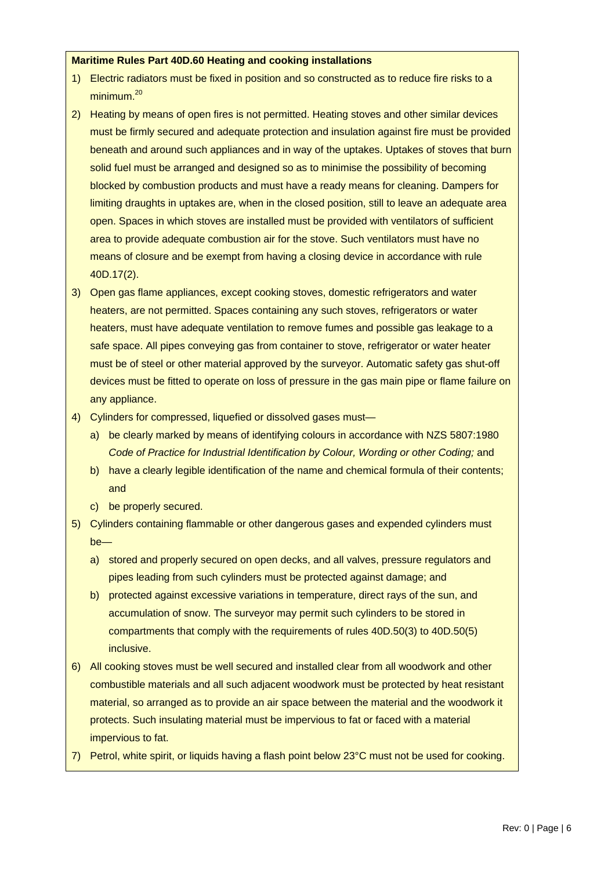#### **Maritime Rules Part 40D.60 Heating and cooking installations**

- 1) Electric radiators must be fixed in position and so constructed as to reduce fire risks to a minimum.20
- 2) Heating by means of open fires is not permitted. Heating stoves and other similar devices must be firmly secured and adequate protection and insulation against fire must be provided beneath and around such appliances and in way of the uptakes. Uptakes of stoves that burn solid fuel must be arranged and designed so as to minimise the possibility of becoming blocked by combustion products and must have a ready means for cleaning. Dampers for limiting draughts in uptakes are, when in the closed position, still to leave an adequate area open. Spaces in which stoves are installed must be provided with ventilators of sufficient area to provide adequate combustion air for the stove. Such ventilators must have no means of closure and be exempt from having a closing device in accordance with rule 40D.17(2).
- 3) Open gas flame appliances, except cooking stoves, domestic refrigerators and water heaters, are not permitted. Spaces containing any such stoves, refrigerators or water heaters, must have adequate ventilation to remove fumes and possible gas leakage to a safe space. All pipes conveying gas from container to stove, refrigerator or water heater must be of steel or other material approved by the surveyor. Automatic safety gas shut-off devices must be fitted to operate on loss of pressure in the gas main pipe or flame failure on any appliance.
- 4) Cylinders for compressed, liquefied or dissolved gases must
	- a) be clearly marked by means of identifying colours in accordance with NZS 5807:1980 *Code of Practice for Industrial Identification by Colour, Wording or other Coding;* and
	- b) have a clearly legible identification of the name and chemical formula of their contents; and
	- c) be properly secured.
- 5) Cylinders containing flammable or other dangerous gases and expended cylinders must be
	- a) stored and properly secured on open decks, and all valves, pressure regulators and pipes leading from such cylinders must be protected against damage; and
	- b) protected against excessive variations in temperature, direct rays of the sun, and accumulation of snow. The surveyor may permit such cylinders to be stored in compartments that comply with the requirements of rules 40D.50(3) to 40D.50(5) inclusive.
- 6) All cooking stoves must be well secured and installed clear from all woodwork and other combustible materials and all such adjacent woodwork must be protected by heat resistant material, so arranged as to provide an air space between the material and the woodwork it protects. Such insulating material must be impervious to fat or faced with a material impervious to fat.
- 7) Petrol, white spirit, or liquids having a flash point below 23°C must not be used for cooking.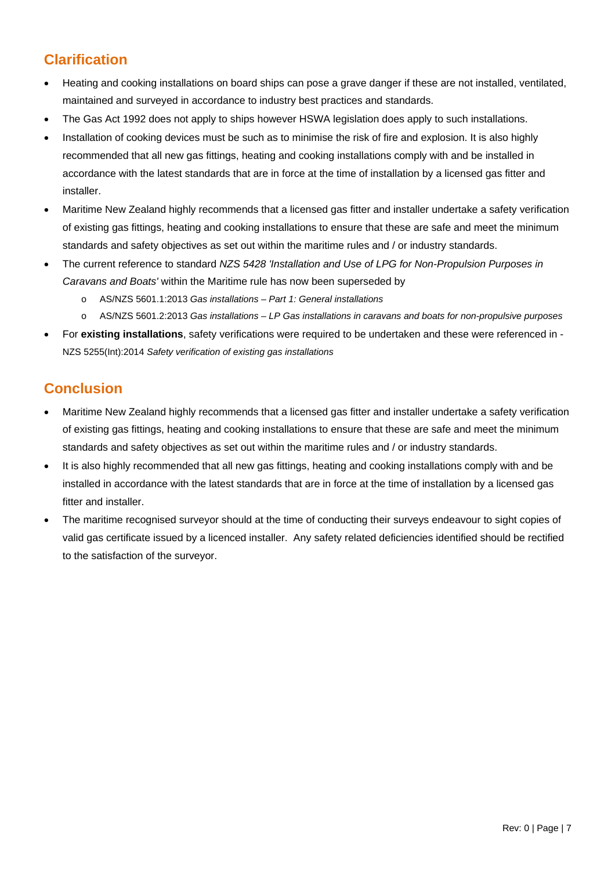## **Clarification**

- Heating and cooking installations on board ships can pose a grave danger if these are not installed, ventilated, maintained and surveyed in accordance to industry best practices and standards.
- The Gas Act 1992 does not apply to ships however HSWA legislation does apply to such installations.
- Installation of cooking devices must be such as to minimise the risk of fire and explosion. It is also highly recommended that all new gas fittings, heating and cooking installations comply with and be installed in accordance with the latest standards that are in force at the time of installation by a licensed gas fitter and installer.
- Maritime New Zealand highly recommends that a licensed gas fitter and installer undertake a safety verification of existing gas fittings, heating and cooking installations to ensure that these are safe and meet the minimum standards and safety objectives as set out within the maritime rules and / or industry standards.
- The current reference to standard *NZS 5428 'Installation and Use of LPG for Non-Propulsion Purposes in Caravans and Boats'* within the Maritime rule has now been superseded by
	- o AS/NZS 5601.1:2013 *Gas installations Part 1: General installations*
	- o AS/NZS 5601.2:2013 *Gas installations LP Gas installations in caravans and boats for non-propulsive purposes*
- For **existing installations**, safety verifications were required to be undertaken and these were referenced in NZS 5255(Int):2014 *Safety verification of existing gas installations*

## **Conclusion**

- Maritime New Zealand highly recommends that a licensed gas fitter and installer undertake a safety verification of existing gas fittings, heating and cooking installations to ensure that these are safe and meet the minimum standards and safety objectives as set out within the maritime rules and / or industry standards.
- It is also highly recommended that all new gas fittings, heating and cooking installations comply with and be installed in accordance with the latest standards that are in force at the time of installation by a licensed gas fitter and installer.
- The maritime recognised surveyor should at the time of conducting their surveys endeavour to sight copies of valid gas certificate issued by a licenced installer. Any safety related deficiencies identified should be rectified to the satisfaction of the surveyor.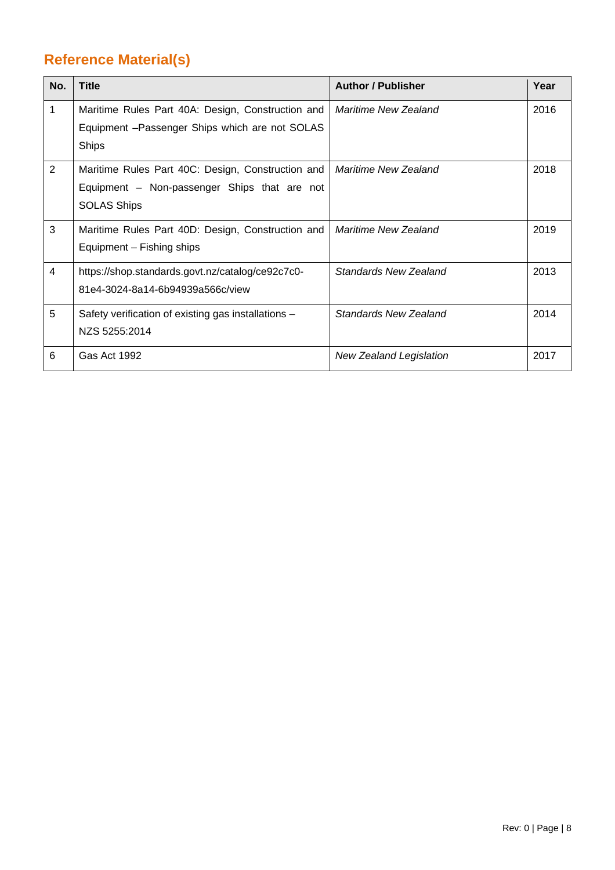## **Reference Material(s)**

| No.            | <b>Title</b>                                                                                                            | <b>Author / Publisher</b>    | Year |
|----------------|-------------------------------------------------------------------------------------------------------------------------|------------------------------|------|
| 1              | Maritime Rules Part 40A: Design, Construction and<br>Equipment - Passenger Ships which are not SOLAS<br><b>Ships</b>    | Maritime New Zealand         | 2016 |
| 2              | Maritime Rules Part 40C: Design, Construction and<br>Equipment - Non-passenger Ships that are not<br><b>SOLAS Ships</b> | Maritime New Zealand         | 2018 |
| 3              | Maritime Rules Part 40D: Design, Construction and<br>Equipment – Fishing ships                                          | <b>Maritime New Zealand</b>  | 2019 |
| $\overline{4}$ | https://shop.standards.govt.nz/catalog/ce92c7c0-<br>81e4-3024-8a14-6b94939a566c/view                                    | Standards New Zealand        | 2013 |
| 5              | Safety verification of existing gas installations -<br>NZS 5255:2014                                                    | <b>Standards New Zealand</b> | 2014 |
| 6              | <b>Gas Act 1992</b>                                                                                                     | New Zealand Legislation      | 2017 |